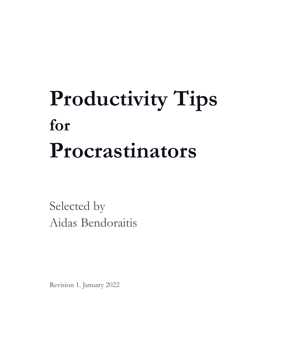## **Productivity Tips for Procrastinators**

Selected by Aidas Bendoraitis

Revision 1. January 2022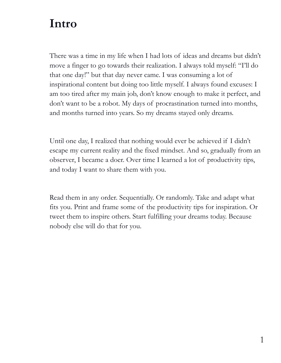#### **Intro**

There was a time in my life when I had lots of ideas and dreams but didn't move a finger to go towards their realization. I always told myself: "I'll do that one day!" but that day never came. I was consuming a lot of inspirational content but doing too little myself. I always found excuses: I am too tired after my main job, don't know enough to make it perfect, and don't want to be a robot. My days of procrastination turned into months, and months turned into years. So my dreams stayed only dreams.

Until one day, I realized that nothing would ever be achieved if I didn't escape my current reality and the fixed mindset. And so, gradually from an observer, I became a doer. Over time I learned a lot of productivity tips, and today I want to share them with you.

Read them in any order. Sequentially. Or randomly. Take and adapt what fits you. Print and frame some of the productivity tips for inspiration. Or tweet them to inspire others. Start fulfilling your dreams today. Because nobody else will do that for you.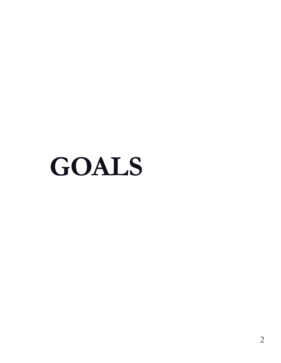**GOALS**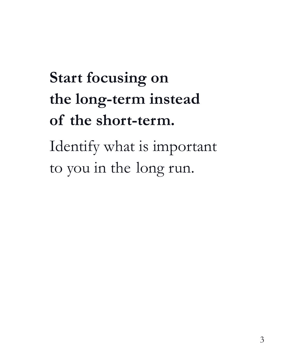### **Start focusing on the long-term instead of the short-term.**

Identify what is important to you in the long run.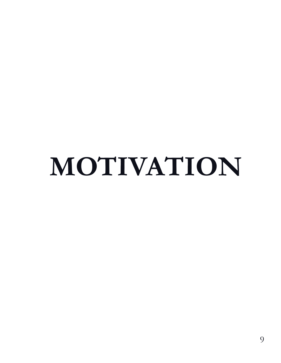# **MOTIVATION**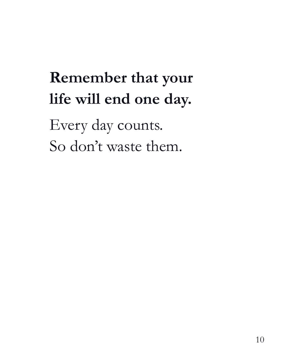### **Remember that your life will end one day.**

Every day counts. So don't waste them.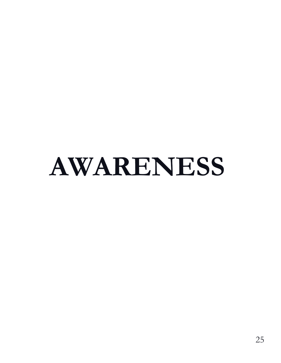## **AWARENESS**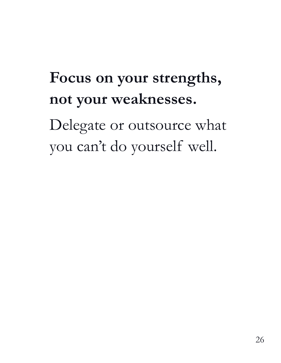### **Focus on your strengths, not your weaknesses.**

Delegate or outsource what you can't do yourself well.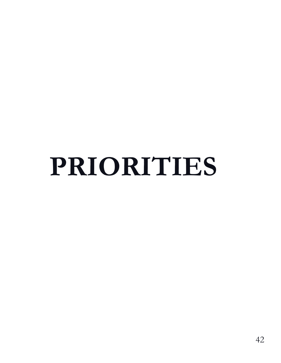# **PRIORITIES**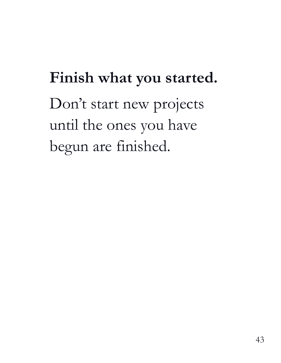### **Finish what you started.** Don't start new projects until the ones you have begun are finished.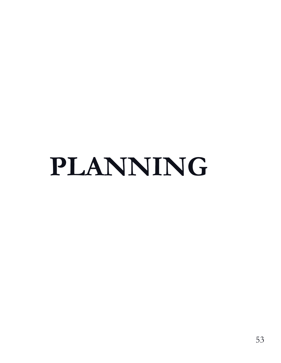## **PLANNING**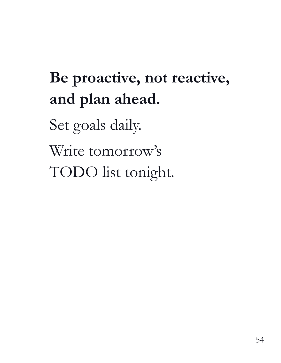### **Be proactive, not reactive, and plan ahead.**

Set goals daily.

Write tomorrow's

TODO list tonight.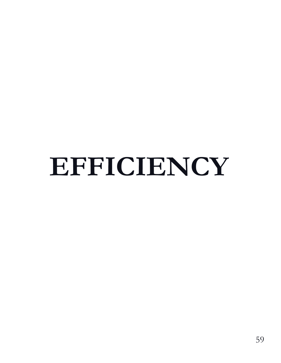## **EFFICIENCY**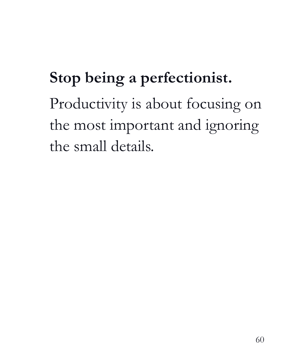#### **Stop being a perfectionist.**

Productivity is about focusing on the most important and ignoring the small details.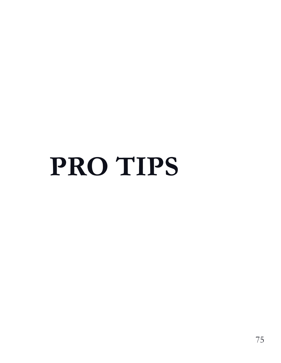## **PRO TIPS**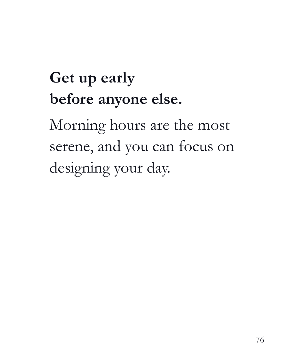### **Get up early before anyone else.**

Morning hours are the most serene, and you can focus on designing your day.